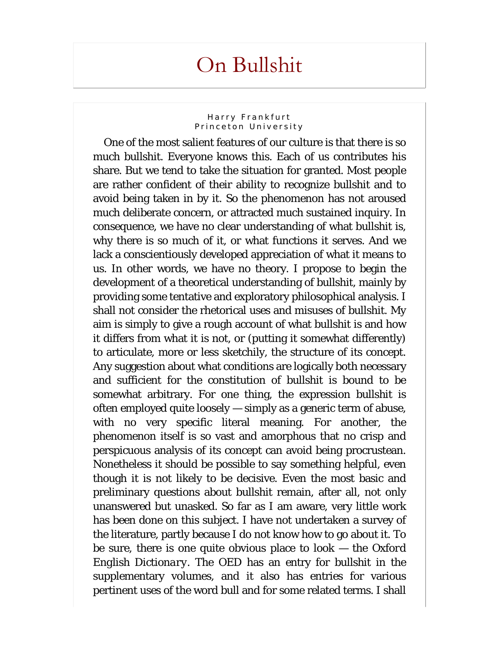## On Bullshit

## Harry Frankfurt Princeton University

One of the most salient features of our culture is that there is so much bullshit. Everyone knows this. Each of us contributes his share. But we tend to take the situation for granted. Most people are rather confident of their ability to recognize bullshit and to avoid being taken in by it. So the phenomenon has not aroused much deliberate concern, or attracted much sustained inquiry. In consequence, we have no clear understanding of what bullshit is, why there is so much of it, or what functions it serves. And we lack a conscientiously developed appreciation of what it means to us. In other words, we have no theory. I propose to begin the development of a theoretical understanding of bullshit, mainly by providing some tentative and exploratory philosophical analysis. I shall not consider the rhetorical uses and misuses of bullshit. My aim is simply to give a rough account of what bullshit is and how it differs from what it is not, or (putting it somewhat differently) to articulate, more or less sketchily, the structure of its concept. Any suggestion about what conditions are logically both necessary and sufficient for the constitution of bullshit is bound to be somewhat arbitrary. For one thing, the expression *bullshit* is often employed quite loosely — simply as a generic term of abuse, with no very specific literal meaning. For another, the phenomenon itself is so vast and amorphous that no crisp and perspicuous analysis of its concept can avoid being procrustean. Nonetheless it should be possible to say something helpful, even though it is not likely to be decisive. Even the most basic and preliminary questions about bullshit remain, after all, not only unanswered but unasked. So far as I am aware, very little work has been done on this subject. I have not undertaken a survey of the literature, partly because I do not know how to go about it. To be sure, there is one quite obvious place to look — the *Oxford English Dictionary.* The *OED* has an entry for *bullshit* in the supplementary volumes, and it also has entries for various pertinent uses of the word *bull* and for some related terms. I shall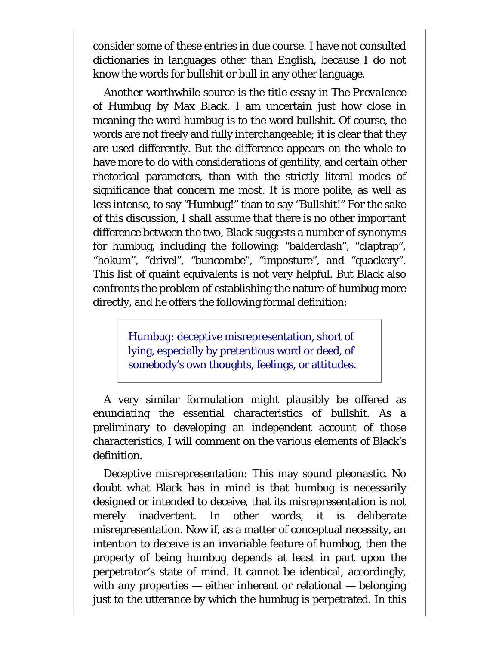consider some of these entries in due course. I have not consulted dictionaries in languages other than English, because I do not know the words for bullshit or bull in any other language.

Another worthwhile source is the title essay in *The Prevalence of Humbug* by Max Black. I am uncertain just how close in meaning the word *humbug* is to the word bullshit. Of course, the words are not freely and fully interchangeable; it is clear that they are used differently. But the difference appears on the whole to have more to do with considerations of gentility, and certain other rhetorical parameters, than with the strictly literal modes of significance that concern me most. It is more polite, as well as less intense, to say "Humbug!" than to say "Bullshit!" For the sake of this discussion, I shall assume that there is no other important difference between the two, Black suggests a number of synonyms for humbug, including the following: "balderdash", "claptrap", "hokum", "drivel", "buncombe", "imposture", and "quackery". This list of quaint equivalents is not very helpful. But Black also confronts the problem of establishing the nature of humbug more directly, and he offers the following formal definition:

> *Humbug*: deceptive misrepresentation, short of lying, especially by pretentious word or deed, of somebody's own thoughts, feelings, or attitudes.

A very similar formulation might plausibly be offered as enunciating the essential characteristics of bullshit. As a preliminary to developing an independent account of those characteristics, I will comment on the various elements of Black's definition.

*Deceptive misrepresentation:* This may sound pleonastic. No doubt what Black has in mind is that humbug is necessarily designed or intended to deceive, that its misrepresentation is not merely inadvertent. In other words, it is *deliberate* misrepresentation. Now if, as a matter of conceptual necessity, an intention to deceive is an invariable feature of humbug, then the property of being humbug depends at least in part upon the perpetrator's state of mind. It cannot be identical, accordingly, with any properties — either inherent or relational — belonging just to the utterance by which the humbug is perpetrated. In this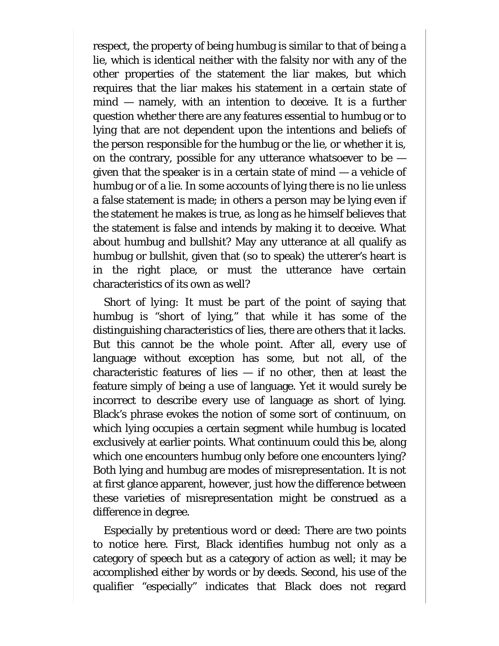respect, the property of being humbug is similar to that of being a lie, which is identical neither with the falsity nor with any of the other properties of the statement the liar makes, but which requires that the liar makes his statement in a certain state of mind — namely, with an intention to deceive. It is a further question whether there are any features essential to humbug or to lying that are *not* dependent upon the intentions and beliefs of the person responsible for the humbug or the lie, or whether it is, on the contrary, possible for any utterance whatsoever to be  $$ given that the speaker is in a certain state of mind — a vehicle of humbug or of a lie. In some accounts of lying there is no lie unless a false statement is made; in others a person may be lying even if the statement he makes is true, as long as he himself believes that the statement is false and intends by making it to deceive. What about humbug and bullshit? May any utterance at all qualify as humbug or bullshit, given that (so to speak) the utterer's heart is in the right place, or must the utterance have certain characteristics of its own as well?

*Short of lying:* It must be part of the point of saying that humbug is "short of lying," that while it has some of the distinguishing characteristics of lies, there are others that it lacks. But this cannot be the whole point. After all, every use of language without exception has some, but not all, of the characteristic features of lies  $-$  if no other, then at least the feature simply of being a use of language. Yet it would surely be incorrect to describe every use of language as short of lying. Black's phrase evokes the notion of some sort of continuum, on which lying occupies a certain segment while humbug is located exclusively at earlier points. What continuum could this be, along which one encounters humbug only before one encounters lying? Both lying and humbug are modes of misrepresentation. It is not at first glance apparent, however, just how the difference between these varieties of misrepresentation might be construed as a difference in degree.

*Especially by pretentious word or deed:* There are two points to notice here. First, Black identifies humbug not only as a category of speech but as a category of action as well; it may be accomplished either by words or by deeds. Second, his use of the qualifier "especially" indicates that Black does not regard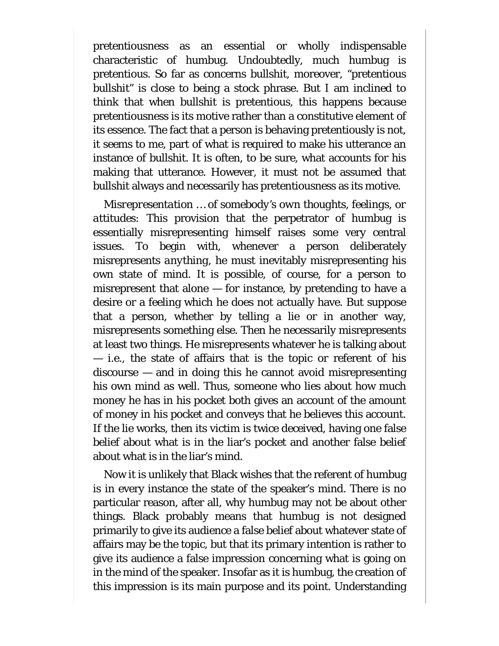pretentiousness as an essential or wholly indispensable characteristic of humbug. Undoubtedly, much humbug is pretentious. So far as concerns bullshit, moreover, "pretentious bullshit" is close to being a stock phrase. But I am inclined to think that when bullshit is pretentious, this happens because pretentiousness is its motive rather than a constitutive element of its essence. The fact that a person is behaving pretentiously is not, it seems to me, part of what is required to make his utterance an instance of bullshit. It is often, to be sure, what accounts for his making that utterance. However, it must not be assumed that bullshit always and necessarily has pretentiousness as its motive.

*Misrepresentation … of somebody's own thoughts, feelings, or attitudes:* This provision that the perpetrator of humbug is essentially misrepresenting himself raises some very central issues. To begin with, whenever a person deliberately misrepresents *anything,* he must inevitably misrepresenting his own state of mind. It is possible, of course, for a person to misrepresent that alone  $-$  for instance, by pretending to have a desire or a feeling which he does not actually have. But suppose that a person, whether by telling a lie or in another way, misrepresents something else. Then he necessarily misrepresents at least two things. He misrepresents whatever he is talking about — i.e., the state of affairs that is the topic or referent of his discourse — and in doing this he cannot avoid misrepresenting his own mind as well. Thus, someone who lies about how much money he has in his pocket both gives an account of the amount of money in his pocket and conveys that he believes this account. If the lie works, then its victim is twice deceived, having one false belief about what is in the liar's pocket and another false belief about what is in the liar's mind.

Now it is unlikely that Black wishes that the referent of humbug is in every instance the state of the speaker's mind. There is no particular reason, after all, why humbug may not be about other things. Black probably means that humbug is not designed primarily to give its audience a false belief about whatever state of affairs may be the topic, but that its primary intention is rather to give its audience a false impression concerning what is going on in the mind of the speaker. Insofar as it is humbug, the creation of this impression is its main purpose and its point. Understanding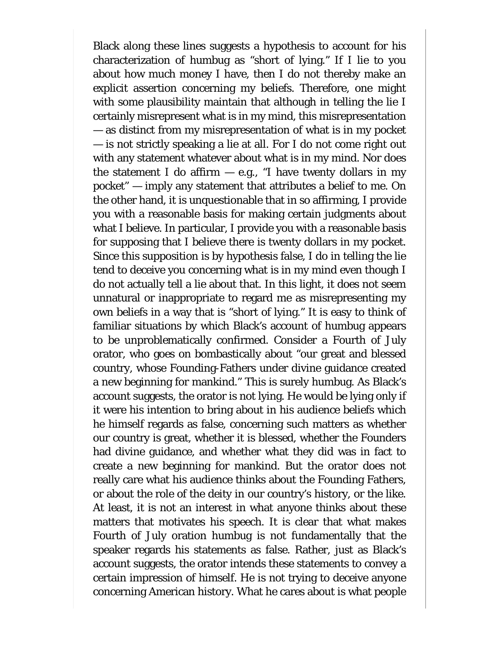Black along these lines suggests a hypothesis to account for his characterization of humbug as "short of lying." If I lie to you about how much money I have, then I do not thereby make an *explicit* assertion concerning my beliefs. Therefore, one might with some plausibility maintain that although in telling the lie I certainly misrepresent what is in my mind, this misrepresentation — as distinct from my misrepresentation of what is in my pocket — is not strictly speaking a lie at all. For I do not come right out with any statement whatever about what is in my mind. Nor does the statement I do affirm  $-$  e.g., "I have twenty dollars in my pocket" — imply any statement that attributes a belief to me. On the other hand, it is unquestionable that in so affirming, I provide you with a reasonable basis for making certain judgments about what I believe. In particular, I provide you with a reasonable basis for supposing that I believe there is twenty dollars in my pocket. Since this supposition is by hypothesis false, I do in telling the lie tend to deceive you concerning what is in my mind even though I do not actually tell a lie about that. In this light, it does not seem unnatural or inappropriate to regard me as misrepresenting my own beliefs in a way that is "short of lying." It is easy to think of familiar situations by which Black's account of humbug appears to be unproblematically confirmed. Consider a Fourth of July orator, who goes on bombastically about "our great and blessed country, whose Founding-Fathers under divine guidance created a new beginning for mankind." This is surely humbug. As Black's account suggests, the orator is not lying. He would be lying only if it were his intention to bring about in his audience beliefs which he himself regards as false, concerning such matters as whether our country is great, whether it is blessed, whether the Founders had divine guidance, and whether what they did was in fact to create a new beginning for mankind. But the orator does not really care what his audience thinks about the Founding Fathers, or about the role of the deity in our country's history, or the like. At least, it is not an interest in what anyone thinks about these matters that motivates his speech. It is clear that what makes Fourth of July oration humbug is not fundamentally that the speaker regards his statements as false. Rather, just as Black's account suggests, the orator intends these statements to convey a certain impression of himself. He is not trying to deceive anyone concerning American history. What he cares about is what people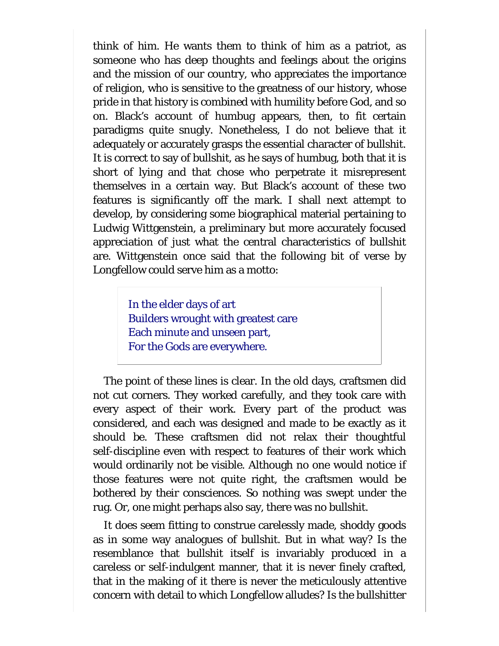think of *him.* He wants them to think of him as a patriot, as someone who has deep thoughts and feelings about the origins and the mission of our country, who appreciates the importance of religion, who is sensitive to the greatness of our history, whose pride in that history is combined with humility before God, and so on. Black's account of humbug appears, then, to fit certain paradigms quite snugly. Nonetheless, I do not believe that it adequately or accurately grasps the essential character of bullshit. It is correct to say of bullshit, as he says of humbug, both that it is short of lying and that chose who perpetrate it misrepresent themselves in a certain way. But Black's account of these two features is significantly off the mark. I shall next attempt to develop, by considering some biographical material pertaining to Ludwig Wittgenstein, a preliminary but more accurately focused appreciation of just what the central characteristics of bullshit are. Wittgenstein once said that the following bit of verse by Longfellow could serve him as a motto:

> In the elder days of art Builders wrought with greatest care Each minute and unseen part, For the Gods are everywhere.

The point of these lines is clear. In the old days, craftsmen did not cut corners. They worked carefully, and they took care with every aspect of their work. Every part of the product was considered, and each was designed and made to be exactly as it should be. These craftsmen did not relax their thoughtful self-discipline even with respect to features of their work which would ordinarily not be visible. Although no one would notice if those features were not quite right, the craftsmen would be bothered by their consciences. So nothing was swept under the rug. Or, one might perhaps also say, there was no bullshit.

It does seem fitting to construe carelessly made, shoddy goods as in some way analogues of bullshit. But in what way? Is the resemblance that bullshit itself is invariably produced in a careless or self-indulgent manner, that it is never finely crafted, that in the making of it there is never the meticulously attentive concern with detail to which Longfellow alludes? Is the bullshitter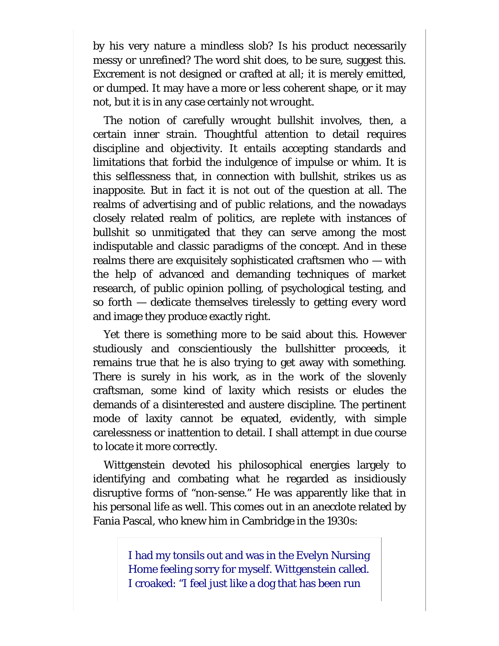by his very nature a mindless slob? Is his product necessarily messy or unrefined? The word *shit* does, to be sure, suggest this. Excrement is not designed or crafted at all; it is merely emitted, or dumped. It may have a more or less coherent shape, or it may not, but it is in any case certainly not *wrought.*

The notion of carefully wrought bullshit involves, then, a certain inner strain. Thoughtful attention to detail requires discipline and objectivity. It entails accepting standards and limitations that forbid the indulgence of impulse or whim. It is this selflessness that, in connection with bullshit, strikes us as inapposite. But in fact it *is* not out of the question at all. The realms of advertising and of public relations, and the nowadays closely related realm of politics, are replete with instances of bullshit so unmitigated that they can serve among the most indisputable and classic paradigms of the concept. And in these realms there are exquisitely sophisticated craftsmen who — with the help of advanced and demanding techniques of market research, of public opinion polling, of psychological testing, and so forth — dedicate themselves tirelessly to getting every word and image they produce exactly right.

Yet there is something more to be said about this. However studiously and conscientiously the bullshitter proceeds, it remains true that he is also trying to get away with something. There is surely in his work, as in the work of the slovenly craftsman, some kind of laxity which resists or eludes the demands of a disinterested and austere discipline. The pertinent mode of laxity cannot be equated, evidently, with simple carelessness or inattention to detail. I shall attempt in due course to locate it more correctly.

Wittgenstein devoted his philosophical energies largely to identifying and combating what he regarded as insidiously disruptive forms of "non-sense." He was apparently like that in his personal life as well. This comes out in an anecdote related by Fania Pascal, who knew him in Cambridge in the 1930s:

> I had my tonsils out and was in the Evelyn Nursing Home feeling sorry for myself. Wittgenstein called. I croaked: "I feel just like a dog that has been run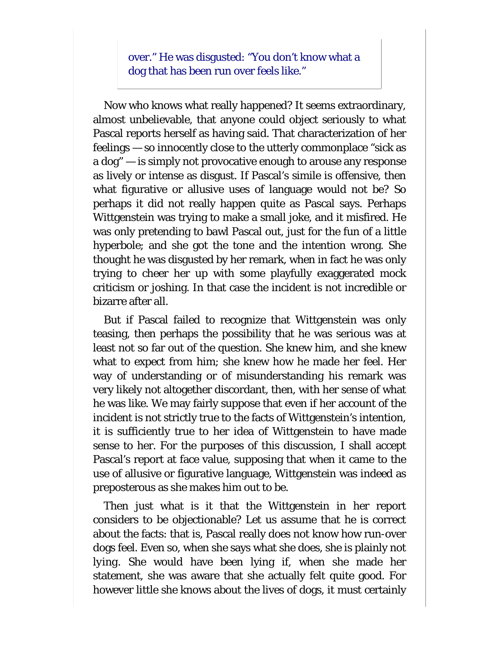over." He was disgusted: "You don't know what a dog that has been run over feels like."

Now who knows what really happened? It seems extraordinary, almost unbelievable, that anyone could object seriously to what Pascal reports herself as having said. That characterization of her feelings — so innocently close to the utterly commonplace "sick as a dog" — is simply not provocative enough to arouse any response as lively or intense as disgust. If Pascal's simile is offensive, then what figurative or allusive uses of language would not be? So perhaps it did not really happen quite as Pascal says. Perhaps Wittgenstein was trying to make a small joke, and it misfired. He was only pretending to bawl Pascal out, just for the fun of a little hyperbole; and she got the tone and the intention wrong. She thought he was disgusted by her remark, when in fact he was only trying to cheer her up with some playfully exaggerated mock criticism or joshing. In that case the incident is not incredible or bizarre after all.

But if Pascal failed to recognize that Wittgenstein was only teasing, then perhaps the possibility that he was serious was at least not so far out of the question. She knew him, and she knew what to expect from him; she knew how he made her feel. Her way of understanding or of misunderstanding his remark was very likely not altogether discordant, then, with her sense of what he was like. We may fairly suppose that even if her account of the incident is not strictly true to the facts of Wittgenstein's intention, it is sufficiently true to her idea of Wittgenstein to have made sense to her. For the purposes of this discussion, I shall accept Pascal's report at face value, supposing that when it came to the use of allusive or figurative language, Wittgenstein was indeed as preposterous as she makes him out to be.

Then just what is it that the Wittgenstein in her report considers to be objectionable? Let us assume that he is correct about the facts: that is, Pascal really does not know how run-over dogs feel. Even so, when she says what she does, she is plainly not *lying.* She would have been lying if, when she made her statement, she was aware that she actually felt quite good. For however little she knows about the lives of dogs, it must certainly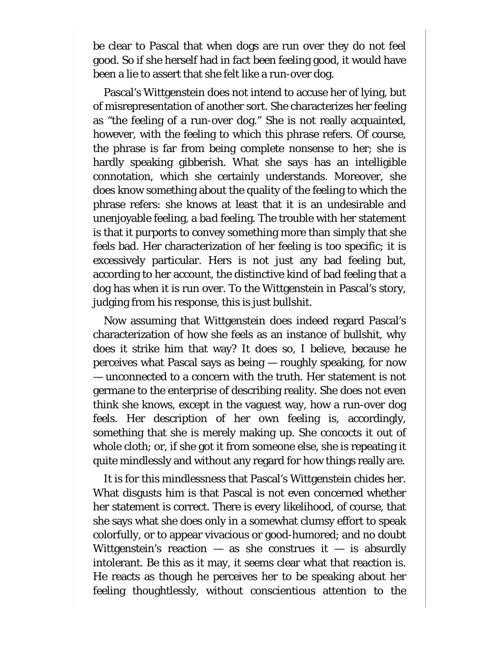be clear to Pascal that when dogs are run over they do not feel good. So if she herself had in fact been feeling good, it would have been a lie to assert that she felt like a run-over dog.

Pascal's Wittgenstein does not intend to accuse her of lying, but of misrepresentation of another sort. She characterizes her feeling as "the feeling of a run-over dog." She is not really acquainted, however, with the feeling to which this phrase refers. Of course, the phrase is far from being complete nonsense to her; she is hardly speaking gibberish. What she says has an intelligible connotation, which she certainly understands. Moreover, she does know something about the quality of the feeling to which the phrase refers: she knows at least that it is an undesirable and unenjoyable feeling, a *bad* feeling. The trouble with her statement is that it purports to convey something more than simply that she feels bad. Her characterization of her feeling is too specific; it is excessively particular. Hers is not just any bad feeling but, according to her account, the distinctive kind of bad feeling that a dog has when it is run over. To the Wittgenstein in Pascal's story, judging from his response, this is just bullshit.

Now assuming that Wittgenstein does indeed regard Pascal's characterization of how she feels as an instance of bullshit, why does it strike him that way? It does so, I believe, because he perceives what Pascal says as being — roughly speaking, for now — unconnected to a concern with the truth. Her statement is not germane to the enterprise of describing reality. She does not even think she knows, except in the vaguest way, how a run-over dog feels. Her description of her own feeling is, accordingly, something that she is merely making up. She concocts it out of whole cloth; or, if she got it from someone else, she is repeating it quite mindlessly and without any regard for how things really are.

It is for this mindlessness that Pascal's Wittgenstein chides her. What disgusts him is that Pascal is not even concerned whether her statement is correct. There is every likelihood, of course, that she says what she does only in a somewhat clumsy effort to speak colorfully, or to appear vivacious or good-humored; and no doubt Wittgenstein's reaction  $-$  as she construes it  $-$  is absurdly intolerant. Be this as it may, it seems clear what that reaction is. He reacts as though he perceives her to be speaking about her feeling thoughtlessly, without conscientious attention to the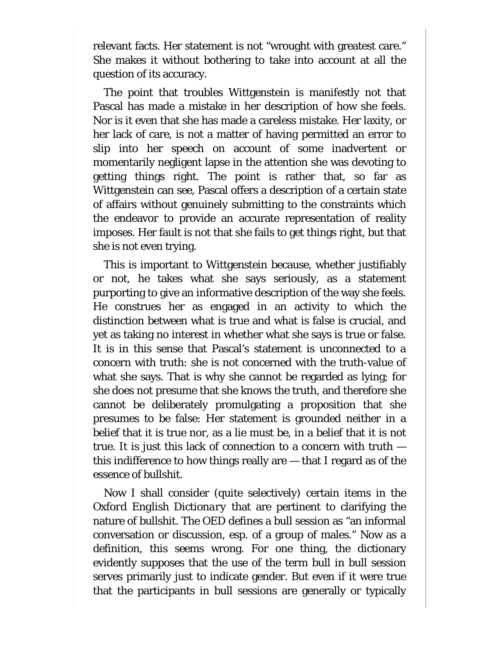relevant facts. Her statement is not "wrought with greatest care." She makes it without bothering to take into account at all the question of its accuracy.

The point that troubles Wittgenstein is manifestly not that Pascal has made a mistake in her description of how she feels. Nor is it even that she has made a careless mistake. Her laxity, or her lack of care, is not a matter of having permitted an error to slip into her speech on account of some inadvertent or momentarily negligent lapse in the attention she was devoting to getting things right. The point is rather that, so far as Wittgenstein can see, Pascal offers a description of a certain state of affairs without genuinely submitting to the constraints which the endeavor to provide an accurate representation of reality imposes. Her fault is not that she fails to get things right, but that she is not even trying.

This is important to Wittgenstein because, whether justifiably or not, he takes what she says seriously, as a statement purporting to give an informative description of the way she feels. He construes her as engaged in an activity to which the distinction between what is true and what is false is crucial, and yet as taking no interest in whether what she says is true or false. It is in this sense that Pascal's statement is unconnected to a concern with truth: she is not concerned with the truth-value of what she says. That is why she cannot be regarded as lying; for she does not presume that she knows the truth, and therefore she cannot be deliberately promulgating a proposition that she presumes to be false: Her statement is grounded neither in a belief that it is true nor, as a lie must be, in a belief that it is not true. It is just this lack of connection to a concern with truth this indifference to how things really are — that I regard as of the essence of bullshit.

Now I shall consider (quite selectively) certain items in the *Oxford English Dictionary* that are pertinent to clarifying the nature of bullshit. The *OED* defines a *bull session* as "an informal conversation or discussion, esp. of a group of males." Now as a definition, this seems wrong. For one thing, the dictionary evidently supposes that the use of the term bull in bull session serves primarily just to indicate gender. But even if it were true that the participants in bull sessions are generally or typically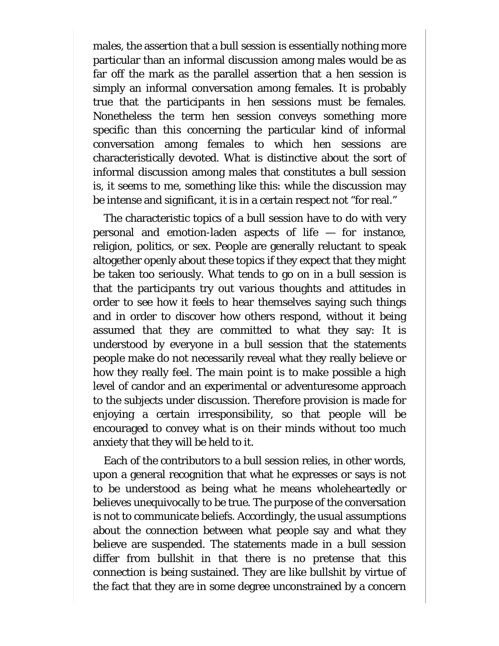males, the assertion that a bull session is essentially nothing more particular than an informal discussion among males would be as far off the mark as the parallel assertion that a hen session is simply an informal conversation among females. It is probably true that the participants in hen sessions must be females. Nonetheless the term *hen session* conveys something more specific than this concerning the particular kind of informal conversation among females to which hen sessions are characteristically devoted. What is distinctive about the sort of informal discussion among males that constitutes a bull session is, it seems to me, something like this: while the discussion may be intense and significant, it is in a certain respect not "for real."

The characteristic topics of a bull session have to do with very personal and emotion-laden aspects of life — for instance, religion, politics, or sex. People are generally reluctant to speak altogether openly about these topics if they expect that they might be taken too seriously. What tends to go on in a bull session is that the participants try out various thoughts and attitudes in order to see how it feels to hear themselves saying such things and in order to discover how others respond, without it being assumed that they are committed to what they say: It is understood by everyone in a bull session that the statements people make do not necessarily reveal what they really believe or how they really feel. The main point is to make possible a high level of candor and an experimental or adventuresome approach to the subjects under discussion. Therefore provision is made for enjoying a certain irresponsibility, so that people will be encouraged to convey what is on their minds without too much anxiety that they will be held to it.

Each of the contributors to a bull session relies, in other words, upon a general recognition that what he expresses or says is not to be understood as being what he means wholeheartedly or believes unequivocally to be true. The purpose of the conversation is not to communicate beliefs. Accordingly, the usual assumptions about the connection between what people say and what they believe are suspended. The statements made in a bull session differ from bullshit in that there is no pretense that this connection is being sustained. They are like bullshit by virtue of the fact that they are in some degree unconstrained by a concern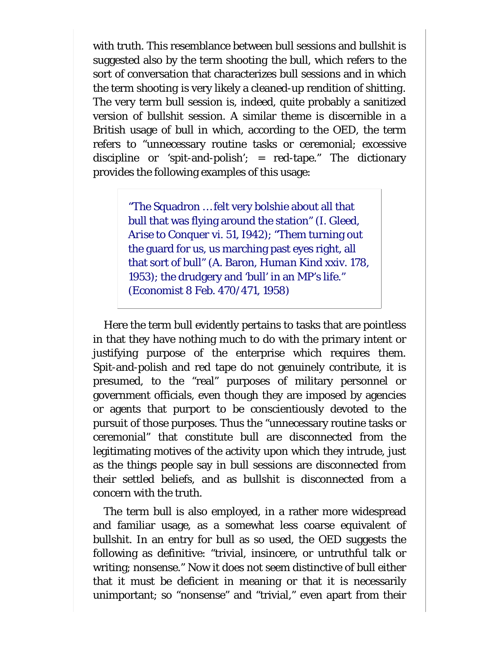with truth. This resemblance between bull sessions and bullshit is suggested also by the term *shooting the bull,* which refers to the sort of conversation that characterizes bull sessions and in which the term *shooting* is very likely a cleaned-up rendition of *shitting.* The very term bull session is, indeed, quite probably a sanitized version of *bullshit session.* A similar theme is discernible in a British usage of *bull* in which, according to the *OED,* the term refers to "unnecessary routine tasks or ceremonial; excessive discipline or 'spit-and-polish'; = red-tape." The dictionary provides the following examples of this usage:

> "The Squadron … felt very bolshie about all that bull that was flying around the station" (I. Gleed, *Arise to Conquer* vi. 51, I942); "Them turning out the guard for us, us marching past eyes right, all that sort of bull" (A. Baron, *Human Kind* xxiv. 178, 1953); the drudgery and 'bull' in an MP's life." *(Economist* 8 Feb. 470/471, 1958)

Here the term bull evidently pertains to tasks that are pointless in that they have nothing much to do with the primary intent or justifying purpose of the enterprise which requires them. Spit-and-polish and red tape do not genuinely contribute, it is presumed, to the "real" purposes of military personnel or government officials, even though they are imposed by agencies or agents that purport to be conscientiously devoted to the pursuit of those purposes. Thus the "unnecessary routine tasks or ceremonial" that constitute bull are disconnected from the legitimating motives of the activity upon which they intrude, just as the things people say in bull sessions are disconnected from their settled beliefs, and as bullshit is disconnected from a concern with the truth.

The term bull is also employed, in a rather more widespread and familiar usage, as a somewhat less coarse equivalent of bullshit. In an entry for bull as so used, the *OED* suggests the following as definitive: "trivial, insincere, or untruthful talk or writing; nonsense." Now it does not seem distinctive of bull either that it must be deficient in meaning or that it is necessarily unimportant; so "nonsense" and "trivial," even apart from their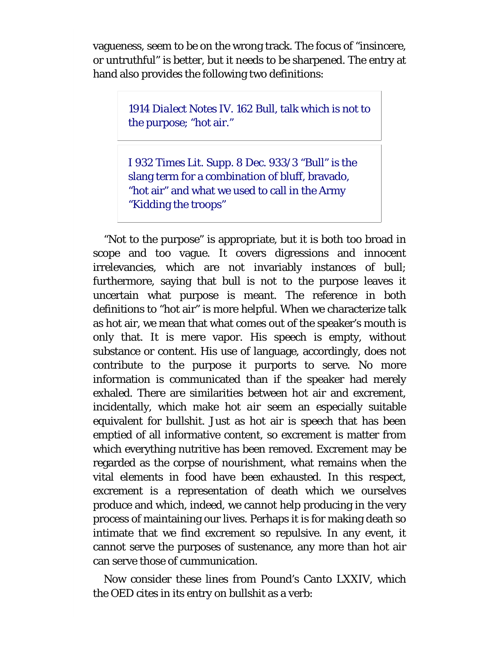vagueness, seem to be on the wrong track. The focus of "insincere, or untruthful" is better, but it needs to be sharpened. The entry at hand also provides the following two definitions:

> 1914 *Dialect Notes* IV. 162 *Bull,* talk which is not to the purpose; "hot air."

I 932 *Times Lit. Supp.* 8 Dec. 933/3 "Bull" is the slang term for a combination of bluff, bravado, "hot air" and what we used to call in the Army "Kidding the troops"

"Not to the purpose" is appropriate, but it is both too broad in scope and too vague. It covers digressions and innocent irrelevancies, which are not invariably instances of bull; furthermore, saying that bull is not to the purpose leaves it uncertain what purpose is meant. The reference in both definitions to "hot air" is more helpful. When we characterize talk as hot air, we mean that what comes out of the speaker's mouth is only that. It is mere vapor. His speech is empty, without substance or content. His use of language, accordingly, does not contribute to the purpose it purports to serve. No more information is communicated than if the speaker had merely exhaled. There are similarities between hot air and excrement, incidentally, which make *hot air* seem an especially suitable equivalent for *bullshit.* Just as hot air is speech that has been emptied of all informative content, so excrement is matter from which everything nutritive has been removed. Excrement may be regarded as the corpse of nourishment, what remains when the vital elements in food have been exhausted. In this respect, excrement is a representation of death which we ourselves produce and which, indeed, we cannot help producing in the very process of maintaining our lives. Perhaps it is for making death so intimate that we find excrement so repulsive. In any event, it cannot serve the purposes of sustenance, any more than hot air can serve those of cummunication.

Now consider these lines from Pound's Canto LXXIV, which the *OED* cites in its entry on bullshit as a verb: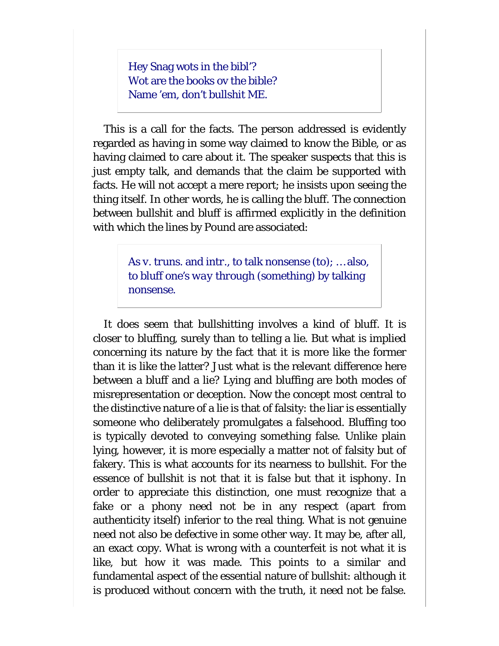Hey Snag wots in the bibl'? Wot are the books ov the bible? Name 'em, don't bullshit ME.

This is a call for the facts. The person addressed is evidently regarded as having in some way claimed to know the Bible, or as having claimed to care about it. The speaker suspects that this is just empty talk, and demands that the claim be supported with facts. He will not accept a mere report; he insists upon seeing the thing itself. In other words, he is calling the bluff. The connection between bullshit and bluff is affirmed explicitly in the definition with which the lines by Pound are associated:

> As *v. truns.* and *intr.,* to talk nonsense (to); … also, to bluff *one's way through* (something) by talking nonsense.

It does seem that bullshitting involves a kind of bluff. It is closer to bluffing, surely than to telling a lie. But what is implied concerning its nature by the fact that it is more like the former than it is like the latter? Just what is the relevant difference here between a bluff and a lie? Lying and bluffing are both modes of misrepresentation or deception. Now the concept most central to the distinctive nature of a lie is that of falsity: the liar is essentially someone who deliberately promulgates a falsehood. Bluffing too is typically devoted to conveying something false. Unlike plain lying, however, it is more especially a matter not of falsity but of fakery. This is what accounts for its nearness to bullshit. For the essence of bullshit is not that it is *false* but that it is*phony.* In order to appreciate this distinction, one must recognize that a fake or a phony need not be in any respect (apart from authenticity itself) inferior to the real thing. What is not genuine need not also be defective in some other way. It may be, after all, an exact copy. What is wrong with a counterfeit is not what it is like, but how it was made. This points to a similar and fundamental aspect of the essential nature of bullshit: although it is produced without concern with the truth, it need not be false.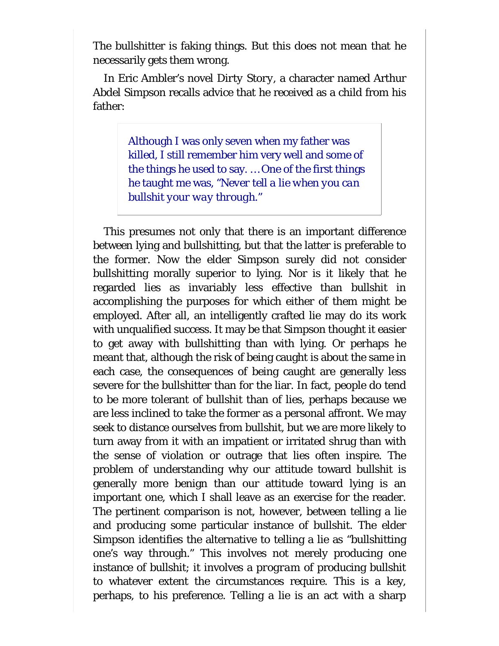The bullshitter is faking things. But this does not mean that he necessarily gets them wrong.

In Eric Ambler's novel *Dirty Story,* a character named Arthur Abdel Simpson recalls advice that he received as a child from his father:

> Although I was only seven when my father was killed, I still remember him very well and some of the things he used to say. … One of the first things he taught me was, *"Never tell a lie when you can bullshit your way through."*

This presumes not only that there is an important difference between lying and bullshitting, but that the latter is preferable to the former. Now the elder Simpson surely did not consider bullshitting morally superior to lying. Nor is it likely that he regarded lies as invariably less effective than bullshit in accomplishing the purposes for which either of them might be employed. After all, an intelligently crafted lie may do its work with unqualified success. It may be that Simpson thought it easier to get away with bullshitting than with lying. Or perhaps he meant that, although the risk of being caught is about the same in each case, the consequences of being caught are generally less severe for the bullshitter than for the liar. In fact, people do tend to be more tolerant of bullshit than of lies, perhaps because we are less inclined to take the former as a personal affront. We may seek to distance ourselves from bullshit, but we are more likely to turn away from it with an impatient or irritated shrug than with the sense of violation or outrage that lies often inspire. The problem of understanding why our attitude toward bullshit is generally more benign than our attitude toward lying is an important one, which I shall leave as an exercise for the reader. The pertinent comparison is not, however, between telling a lie and producing some particular instance of bullshit. The elder Simpson identifies the alternative to telling a lie as "bullshitting one's way through." This involves not merely producing one instance of bullshit; it involves a *program* of producing bullshit to whatever extent the circumstances require. This is a key, perhaps, to his preference. Telling a lie is an act with a sharp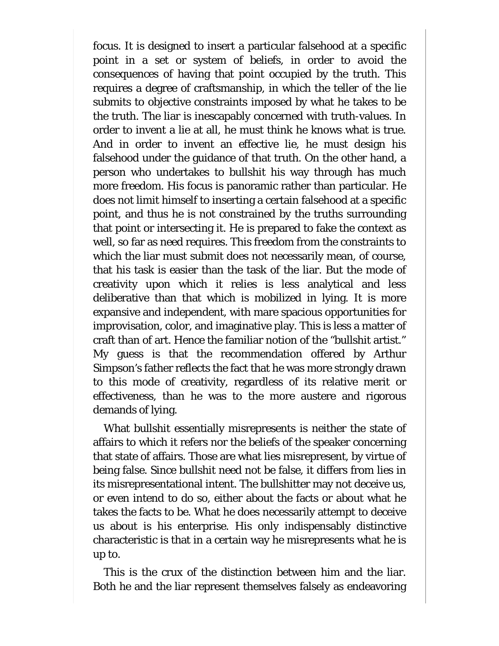focus. It is designed to insert a particular falsehood at a specific point in a set or system of beliefs, in order to avoid the consequences of having that point occupied by the truth. This requires a degree of craftsmanship, in which the teller of the lie submits to objective constraints imposed by what he takes to be the truth. The liar is inescapably concerned with truth-values. In order to invent a lie at all, he must think he knows what is true. And in order to invent an effective lie, he must design his falsehood under the guidance of that truth. On the other hand, a person who undertakes to bullshit his way through has much more freedom. His focus is panoramic rather than particular. He does not limit himself to inserting a certain falsehood at a specific point, and thus he is not constrained by the truths surrounding that point or intersecting it. He is prepared to fake the context as well, so far as need requires. This freedom from the constraints to which the liar must submit does not necessarily mean, of course, that his task is easier than the task of the liar. But the mode of creativity upon which it relies is less analytical and less deliberative than that which is mobilized in lying. It is more expansive and independent, with mare spacious opportunities for improvisation, color, and imaginative play. This is less a matter of craft than of art. Hence the familiar notion of the "bullshit artist." My guess is that the recommendation offered by Arthur Simpson's father reflects the fact that he was more strongly drawn to this mode of creativity, regardless of its relative merit or effectiveness, than he was to the more austere and rigorous demands of lying.

What bullshit essentially misrepresents is neither the state of affairs to which it refers nor the beliefs of the speaker concerning that state of affairs. Those are what lies misrepresent, by virtue of being false. Since bullshit need not be false, it differs from lies in its misrepresentational intent. The bullshitter may not deceive us, or even intend to do so, either about the facts or about what he takes the facts to be. What he does necessarily attempt to deceive us about is his enterprise. His only indispensably distinctive characteristic is that in a certain way he misrepresents what he is up to.

This is the crux of the distinction between him and the liar. Both he and the liar represent themselves falsely as endeavoring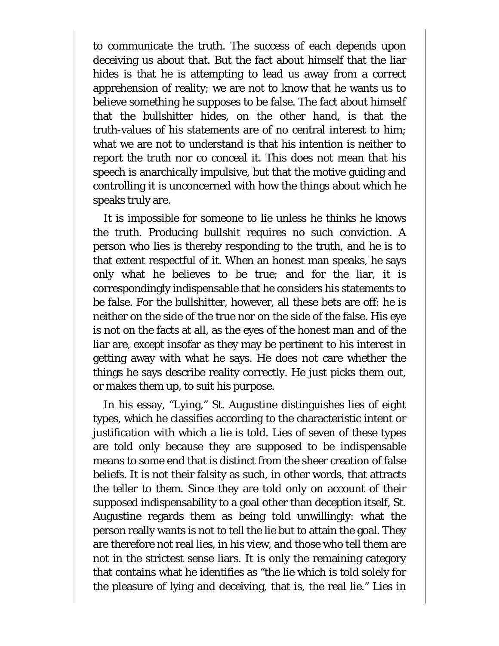to communicate the truth. The success of each depends upon deceiving us about that. But the fact about himself that the liar hides is that he is attempting to lead us away from a correct apprehension of reality; we are not to know that he wants us to believe something he supposes to be false. The fact about himself that the bullshitter hides, on the other hand, is that the truth-values of his statements are of no central interest to him; what we are not to understand is that his intention is neither to report the truth nor co conceal it. This does not mean that his speech is anarchically impulsive, but that the motive guiding and controlling it is unconcerned with how the things about which he speaks truly are.

It is impossible for someone to lie unless he thinks he knows the truth. Producing bullshit requires no such conviction. A person who lies is thereby responding to the truth, and he is to that extent respectful of it. When an honest man speaks, he says only what he believes to be true; and for the liar, it is correspondingly indispensable that he considers his statements to be false. For the bullshitter, however, all these bets are off: he is neither on the side of the true nor on the side of the false. His eye is not on the facts at all, as the eyes of the honest man and of the liar are, except insofar as they may be pertinent to his interest in getting away with what he says. He does not care whether the things he says describe reality correctly. He just picks them out, or makes them up, to suit his purpose.

In his essay, "Lying," St. Augustine distinguishes lies of eight types, which he classifies according to the characteristic intent or justification with which a lie is told. Lies of seven of these types are told only because they are supposed to be indispensable means to some end that is distinct from the sheer creation of false beliefs. It is not their falsity as such, in other words, that attracts the teller to them. Since they are told only on account of their supposed indispensability to a goal other than deception itself, St. Augustine regards them as being told unwillingly: what the person really wants is not to tell the lie but to attain the goal. They are therefore not real lies, in his view, and those who tell them are not in the strictest sense liars. It is only the remaining category that contains what he identifies as "the lie which is told solely for the pleasure of lying and deceiving, that is, the real lie." Lies in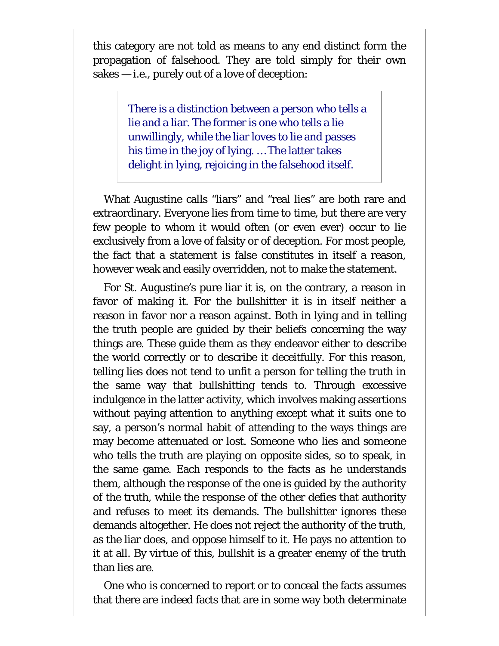this category are not told as means to any end distinct form the propagation of falsehood. They are told simply for their own sakes — i.e., purely out of a love of deception:

> There is a distinction between a person who tells a lie and a liar. The former is one who tells a lie unwillingly, while the liar loves to lie and passes his time in the joy of lying. … The latter takes delight in lying, rejoicing in the falsehood itself.

What Augustine calls "liars" and "real lies" are both rare and extraordinary. Everyone lies from time to time, but there are very few people to whom it would often (or even ever) occur to lie exclusively from a love of falsity or of deception. For most people, the fact that a statement is false constitutes in itself a reason, however weak and easily overridden, not to make the statement.

For St. Augustine's pure liar it is, on the contrary, a reason in favor of making it. For the bullshitter it is in itself neither a reason in favor nor a reason against. Both in lying and in telling the truth people are guided by their beliefs concerning the way things are. These guide them as they endeavor either to describe the world correctly or to describe it deceitfully. For this reason, telling lies does not tend to unfit a person for telling the truth in the same way that bullshitting tends to. Through excessive indulgence in the latter activity, which involves making assertions without paying attention to anything except what it suits one to say, a person's normal habit of attending to the ways things are may become attenuated or lost. Someone who lies and someone who tells the truth are playing on opposite sides, so to speak, in the same game. Each responds to the facts as he understands them, although the response of the one is guided by the authority of the truth, while the response of the other defies that authority and refuses to meet its demands. The bullshitter ignores these demands altogether. He does not reject the authority of the truth, as the liar does, and oppose himself to it. He pays no attention to it at all. By virtue of this, bullshit is a greater enemy of the truth than lies are.

One who is concerned to report or to conceal the facts assumes that there are indeed facts that are in some way both determinate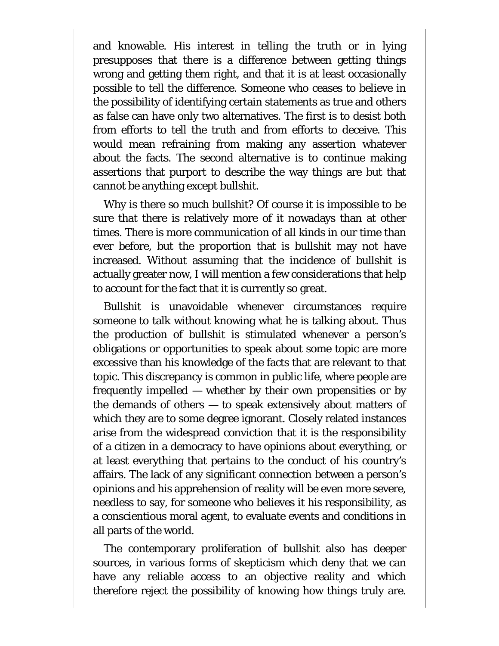and knowable. His interest in telling the truth or in lying presupposes that there is a difference between getting things wrong and getting them right, and that it is at least occasionally possible to tell the difference. Someone who ceases to believe in the possibility of identifying certain statements as true and others as false can have only two alternatives. The first is to desist both from efforts to tell the truth and from efforts to deceive. This would mean refraining from making any assertion whatever about the facts. The second alternative is to continue making assertions that purport to describe the way things are but that cannot be anything except bullshit.

Why is there so much bullshit? Of course it is impossible to be sure that there is relatively more of it nowadays than at other times. There is more communication of all kinds in our time than ever before, but the proportion that is bullshit may not have increased. Without assuming that the incidence of bullshit is actually greater now, I will mention a few considerations that help to account for the fact that it is currently so great.

Bullshit is unavoidable whenever circumstances require someone to talk without knowing what he is talking about. Thus the production of bullshit is stimulated whenever a person's obligations or opportunities to speak about some topic are more excessive than his knowledge of the facts that are relevant to that topic. This discrepancy is common in public life, where people are frequently impelled — whether by their own propensities or by the demands of others — to speak extensively about matters of which they are to some degree ignorant. Closely related instances arise from the widespread conviction that it is the responsibility of a citizen in a democracy to have opinions about everything, or at least everything that pertains to the conduct of his country's affairs. The lack of any significant connection between a person's opinions and his apprehension of reality will be even more severe, needless to say, for someone who believes it his responsibility, as a conscientious moral agent, to evaluate events and conditions in all parts of the world.

The contemporary proliferation of bullshit also has deeper sources, in various forms of skepticism which deny that we can have any reliable access to an objective reality and which therefore reject the possibility of knowing how things truly are.